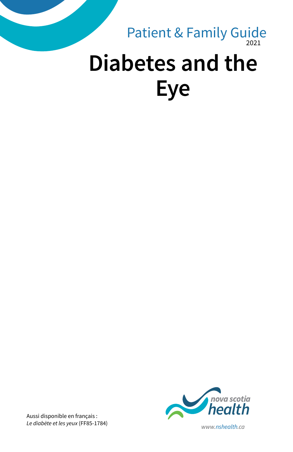### 2021 **Diabetes and the Eye** Patient & Family Guide



Aussi disponible en français : *Le diabète et les yeux* (FF85-1784) *www.nshealth.ca*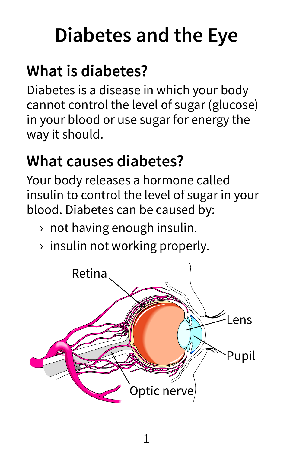# **Diabetes and the Eye**

## **What is diabetes?**

Diabetes is a disease in which your body cannot control the level of sugar (glucose) in your blood or use sugar for energy the way it should.

### **What causes diabetes?**

Your body releases a hormone called insulin to control the level of sugar in your blood. Diabetes can be caused by:

- › not having enough insulin.
- › insulin not working properly.

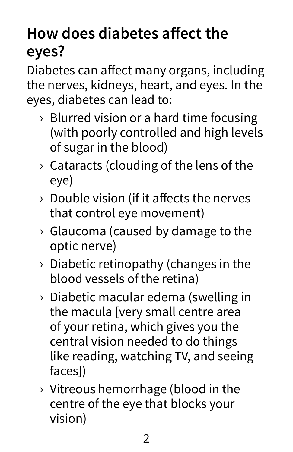### **How does diabetes affect the eyes?**

Diabetes can affect many organs, including the nerves, kidneys, heart, and eyes. In the eyes, diabetes can lead to:

- › Blurred vision or a hard time focusing (with poorly controlled and high levels of sugar in the blood)
- › Cataracts (clouding of the lens of the eye)
- › Double vision (if it affects the nerves that control eye movement)
- › Glaucoma (caused by damage to the optic nerve)
- › Diabetic retinopathy (changes in the blood vessels of the retina)
- › Diabetic macular edema (swelling in the macula [very small centre area of your retina, which gives you the central vision needed to do things like reading, watching TV, and seeing faces])
- › Vitreous hemorrhage (blood in the centre of the eye that blocks your vision)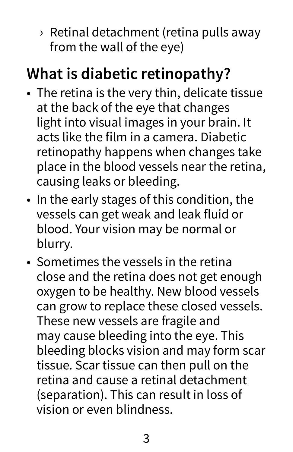› Retinal detachment (retina pulls away from the wall of the eye)

### **What is diabetic retinopathy?**

- The retina is the very thin, delicate tissue at the back of the eye that changes light into visual images in your brain. It acts like the film in a camera. Diabetic retinopathy happens when changes take place in the blood vessels near the retina, causing leaks or bleeding.
- In the early stages of this condition, the vessels can get weak and leak fluid or blood. Your vision may be normal or blurry.
- Sometimes the vessels in the retina close and the retina does not get enough oxygen to be healthy. New blood vessels can grow to replace these closed vessels. These new vessels are fragile and may cause bleeding into the eye. This bleeding blocks vision and may form scar tissue. Scar tissue can then pull on the retina and cause a retinal detachment (separation). This can result in loss of vision or even blindness.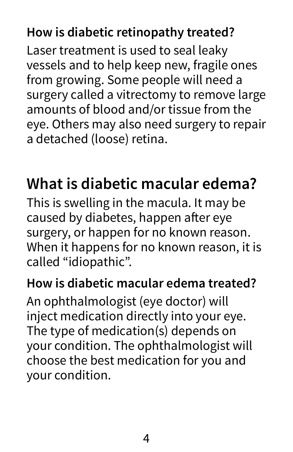#### **How is diabetic retinopathy treated?**

Laser treatment is used to seal leaky vessels and to help keep new, fragile ones from growing. Some people will need a surgery called a vitrectomy to remove large amounts of blood and/or tissue from the eye. Others may also need surgery to repair a detached (loose) retina.

### **What is diabetic macular edema?**

This is swelling in the macula. It may be caused by diabetes, happen after eye surgery, or happen for no known reason. When it happens for no known reason, it is called "idiopathic".

#### **How is diabetic macular edema treated?**

An ophthalmologist (eye doctor) will inject medication directly into your eye. The type of medication(s) depends on your condition. The ophthalmologist will choose the best medication for you and your condition.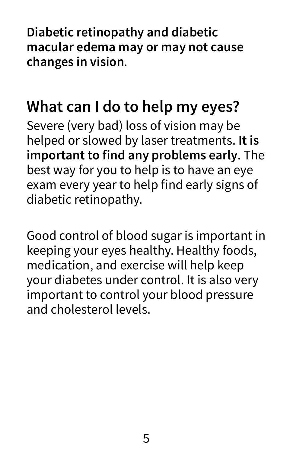**Diabetic retinopathy and diabetic macular edema may or may not cause changes in vision**.

### **What can I do to help my eyes?**

Severe (very bad) loss of vision may be helped or slowed by laser treatments. **It is important to find any problems early**. The best way for you to help is to have an eye exam every year to help find early signs of diabetic retinopathy.

Good control of blood sugar is important in keeping your eyes healthy. Healthy foods, medication, and exercise will help keep your diabetes under control. It is also very important to control your blood pressure and cholesterol levels.